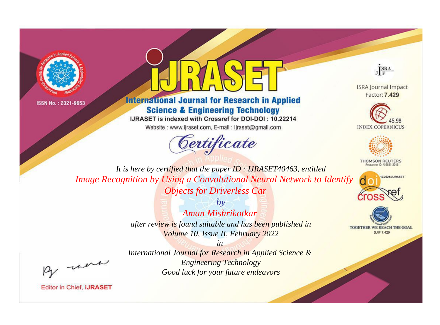



# **International Journal for Research in Applied Science & Engineering Technology**

IJRASET is indexed with Crossref for DOI-DOI: 10.22214

Website: www.ijraset.com, E-mail: ijraset@gmail.com



JERA

**ISRA Journal Impact** Factor: 7.429





**THOMSON REUTERS** 



TOGETHER WE REACH THE GOAL **SJIF 7.429** 

It is here by certified that the paper ID: IJRASET40463, entitled Image Recognition by Using a Convolutional Neural Network to Identify **Objects for Driverless Car** 

> $b\nu$ Aman Mishrikotkar after review is found suitable and has been published in Volume 10, Issue II, February 2022

were

International Journal for Research in Applied Science & **Engineering Technology** Good luck for your future endeavors

 $in$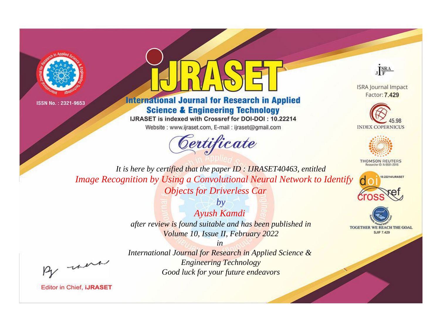



# **International Journal for Research in Applied Science & Engineering Technology**

IJRASET is indexed with Crossref for DOI-DOI: 10.22214

Website: www.ijraset.com, E-mail: ijraset@gmail.com



JERA

**ISRA Journal Impact** Factor: 7.429





**THOMSON REUTERS** 

![](_page_1_Picture_12.jpeg)

TOGETHER WE REACH THE GOAL **SJIF 7.429** 

It is here by certified that the paper ID: IJRASET40463, entitled Image Recognition by Using a Convolutional Neural Network to Identify **Objects for Driverless Car** 

> $b\nu$ Ayush Kamdi after review is found suitable and has been published in Volume 10, Issue II, February 2022

were

International Journal for Research in Applied Science & **Engineering Technology** Good luck for your future endeavors

 $in$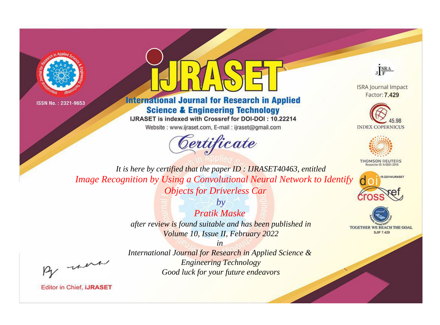![](_page_2_Picture_0.jpeg)

![](_page_2_Picture_2.jpeg)

# **International Journal for Research in Applied Science & Engineering Technology**

IJRASET is indexed with Crossref for DOI-DOI: 10.22214

Website: www.ijraset.com, E-mail: ijraset@gmail.com

![](_page_2_Picture_6.jpeg)

JERA

**ISRA Journal Impact** Factor: 7.429

![](_page_2_Picture_9.jpeg)

![](_page_2_Picture_10.jpeg)

**THOMSON REUTERS** 

![](_page_2_Picture_12.jpeg)

TOGETHER WE REACH THE GOAL **SJIF 7.429** 

It is here by certified that the paper ID: IJRASET40463, entitled Image Recognition by Using a Convolutional Neural Network to Identify **Objects for Driverless Car** 

> $b\nu$ Pratik Maske after review is found suitable and has been published in Volume 10, Issue II, February 2022

> > $in$

International Journal for Research in Applied Science & **Engineering Technology** Good luck for your future endeavors

were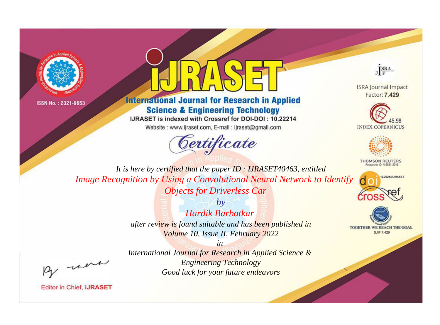![](_page_3_Picture_0.jpeg)

![](_page_3_Picture_2.jpeg)

# **International Journal for Research in Applied Science & Engineering Technology**

IJRASET is indexed with Crossref for DOI-DOI: 10.22214

Website: www.ijraset.com, E-mail: ijraset@gmail.com

![](_page_3_Picture_6.jpeg)

JERA

**ISRA Journal Impact** Factor: 7.429

![](_page_3_Picture_9.jpeg)

![](_page_3_Picture_10.jpeg)

**THOMSON REUTERS** 

![](_page_3_Picture_12.jpeg)

TOGETHER WE REACH THE GOAL **SJIF 7.429** 

It is here by certified that the paper ID: IJRASET40463, entitled Image Recognition by Using a Convolutional Neural Network to Identify **Objects for Driverless Car** 

> $b\nu$ Hardik Barbatkar after review is found suitable and has been published in Volume 10, Issue II, February 2022

were

International Journal for Research in Applied Science & **Engineering Technology** Good luck for your future endeavors

 $in$